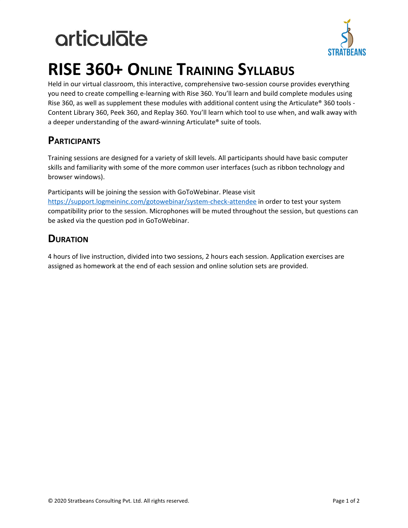# **articulate**



### **RISE 360+ ONLINE TRAINING SYLLABUS**

Held in our virtual classroom, this interactive, comprehensive two-session course provides everything you need to create compelling e-learning with Rise 360. You'll learn and build complete modules using Rise 360, as well as supplement these modules with additional content using the Articulate® 360 tools - Content Library 360, Peek 360, and Replay 360. You'll learn which tool to use when, and walk away with a deeper understanding of the award-winning Articulate® suite of tools.

### **PARTICIPANTS**

Training sessions are designed for a variety of skill levels. All participants should have basic computer skills and familiarity with some of the more common user interfaces (such as ribbon technology and browser windows).

Participants will be joining the session with GoToWebinar. Please visit <https://support.logmeininc.com/gotowebinar/system-check-attendee>in order to test your system compatibility prior to the session. Microphones will be muted throughout the session, but questions can be asked via the question pod in GoToWebinar.

### **DURATION**

4 hours of live instruction, divided into two sessions, 2 hours each session. Application exercises are assigned as homework at the end of each session and online solution sets are provided.